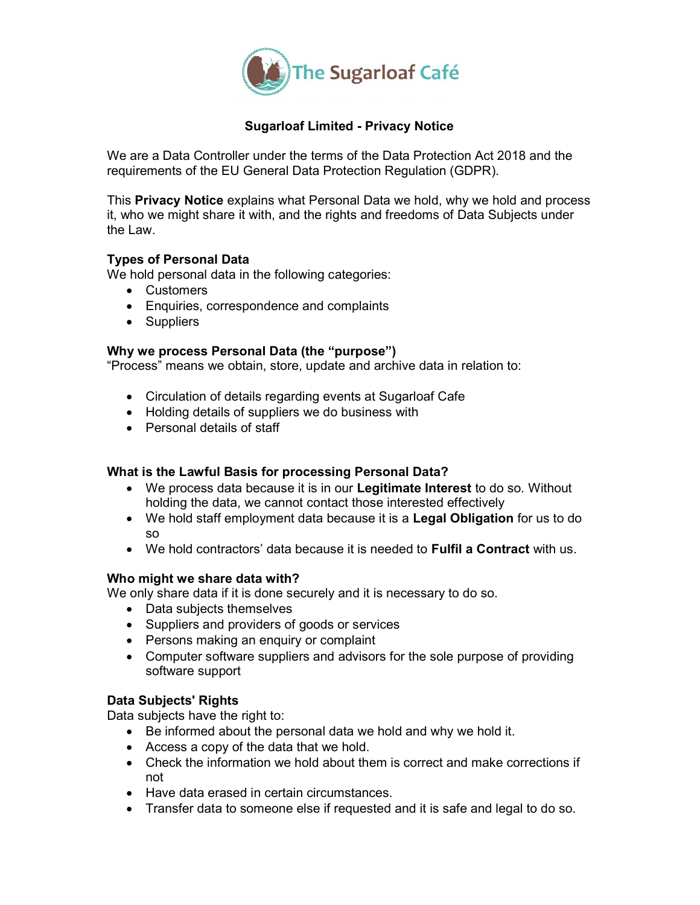

# Sugarloaf Limited - Privacy Notice

We are a Data Controller under the terms of the Data Protection Act 2018 and the requirements of the EU General Data Protection Regulation (GDPR).

This Privacy Notice explains what Personal Data we hold, why we hold and process it, who we might share it with, and the rights and freedoms of Data Subjects under the Law.

## Types of Personal Data

We hold personal data in the following categories:

- Customers
- Enquiries, correspondence and complaints
- Suppliers

## Why we process Personal Data (the "purpose")

"Process" means we obtain, store, update and archive data in relation to:

- Circulation of details regarding events at Sugarloaf Cafe
- Holding details of suppliers we do business with
- Personal details of staff

## What is the Lawful Basis for processing Personal Data?

- We process data because it is in our Legitimate Interest to do so. Without holding the data, we cannot contact those interested effectively
- We hold staff employment data because it is a Legal Obligation for us to do so
- We hold contractors' data because it is needed to Fulfil a Contract with us.

## Who might we share data with?

We only share data if it is done securely and it is necessary to do so.

- Data subjects themselves
- Suppliers and providers of goods or services
- Persons making an enquiry or complaint
- Computer software suppliers and advisors for the sole purpose of providing software support

## Data Subjects' Rights

Data subjects have the right to:

- Be informed about the personal data we hold and why we hold it.
- Access a copy of the data that we hold.
- Check the information we hold about them is correct and make corrections if not
- Have data erased in certain circumstances.
- Transfer data to someone else if requested and it is safe and legal to do so.